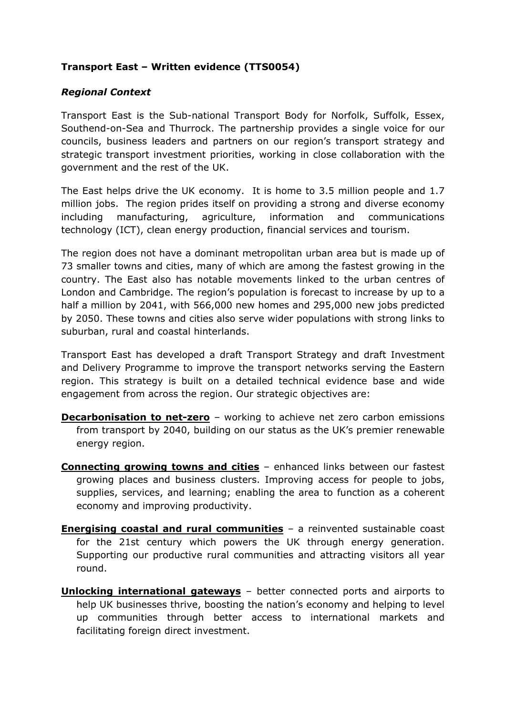# **Transport East – Written evidence (TTS0054)**

## *Regional Context*

Transport East is the Sub-national Transport Body for Norfolk, Suffolk, Essex, Southend-on-Sea and Thurrock. The partnership provides a single voice for our councils, business leaders and partners on our region's transport strategy and strategic transport investment priorities, working in close collaboration with the government and the rest of the UK.

The East helps drive the UK economy. It is home to 3.5 million people and 1.7 million jobs. The region prides itself on providing a strong and diverse economy including manufacturing, agriculture, information and communications technology (ICT), clean energy production, financial services and tourism.

The region does not have a dominant metropolitan urban area but is made up of 73 smaller towns and cities, many of which are among the fastest growing in the country. The East also has notable movements linked to the urban centres of London and Cambridge. The region's population is forecast to increase by up to a half a million by 2041, with 566,000 new homes and 295,000 new jobs predicted by 2050. These towns and cities also serve wider populations with strong links to suburban, rural and coastal hinterlands.

Transport East has developed a draft Transport Strategy and draft Investment and Delivery Programme to improve the transport networks serving the Eastern region. This strategy is built on a detailed technical evidence base and wide engagement from across the region. Our strategic objectives are:

- **Decarbonisation to net-zero** working to achieve net zero carbon emissions from transport by 2040, building on our status as the UK's premier renewable energy region.
- **Connecting growing towns and cities** enhanced links between our fastest growing places and business clusters. Improving access for people to jobs, supplies, services, and learning; enabling the area to function as a coherent economy and improving productivity.
- **Energising coastal and rural communities** a reinvented sustainable coast for the 21st century which powers the UK through energy generation. Supporting our productive rural communities and attracting visitors all year round.
- **Unlocking international gateways** better connected ports and airports to help UK businesses thrive, boosting the nation's economy and helping to level up communities through better access to international markets and facilitating foreign direct investment.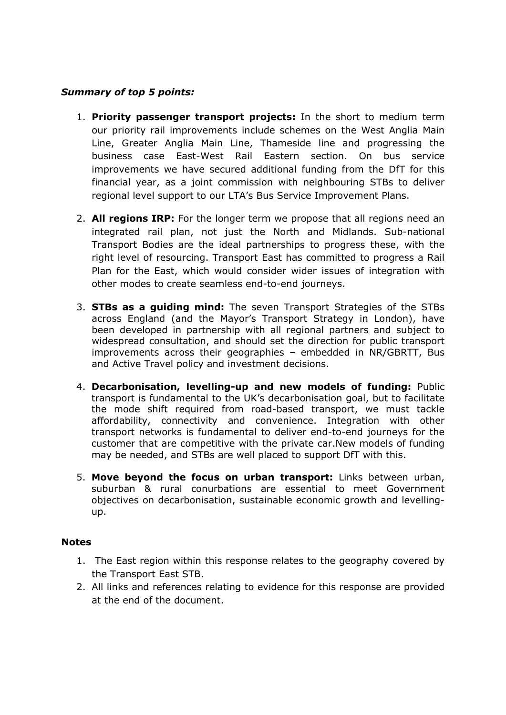#### *Summary of top 5 points:*

- 1. **Priority passenger transport projects:** In the short to medium term our priority rail improvements include schemes on the West Anglia Main Line, Greater Anglia Main Line, Thameside line and progressing the business case East-West Rail Eastern section. On bus service improvements we have secured additional funding from the DfT for this financial year, as a joint commission with neighbouring STBs to deliver regional level support to our LTA's Bus Service Improvement Plans.
- 2. **All regions IRP:** For the longer term we propose that all regions need an integrated rail plan, not just the North and Midlands. Sub-national Transport Bodies are the ideal partnerships to progress these, with the right level of resourcing. Transport East has committed to progress a Rail Plan for the East, which would consider wider issues of integration with other modes to create seamless end-to-end journeys.
- 3. **STBs as a guiding mind:** The seven Transport Strategies of the STBs across England (and the Mayor's Transport Strategy in London), have been developed in partnership with all regional partners and subject to widespread consultation, and should set the direction for public transport improvements across their geographies – embedded in NR/GBRTT, Bus and Active Travel policy and investment decisions.
- 4. **Decarbonisation, levelling-up and new models of funding:** Public transport is fundamental to the UK's decarbonisation goal, but to facilitate the mode shift required from road-based transport, we must tackle affordability, connectivity and convenience. Integration with other transport networks is fundamental to deliver end-to-end journeys for the customer that are competitive with the private car.New models of funding may be needed, and STBs are well placed to support DfT with this.
- 5. **Move beyond the focus on urban transport:** Links between urban, suburban & rural conurbations are essential to meet Government objectives on decarbonisation, sustainable economic growth and levellingup.

#### **Notes**

- 1. The East region within this response relates to the geography covered by the Transport East STB.
- 2. All links and references relating to evidence for this response are provided at the end of the document.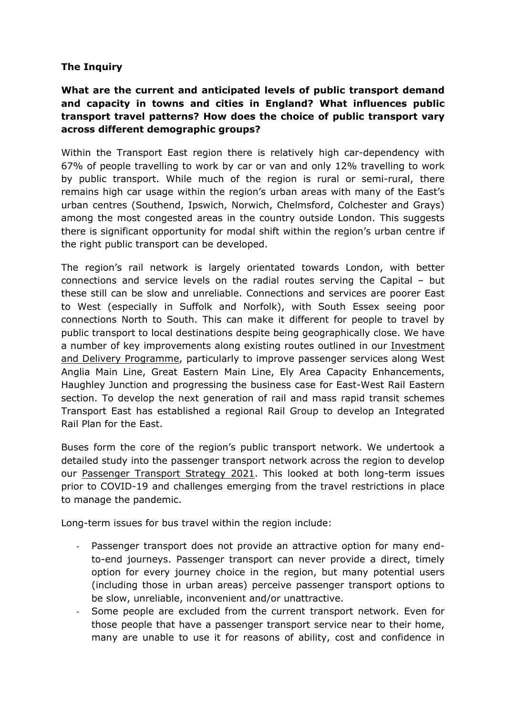#### **The Inquiry**

# **What are the current and anticipated levels of public transport demand and capacity in towns and cities in England? What influences public transport travel patterns? How does the choice of public transport vary across different demographic groups?**

Within the Transport East region there is relatively high car-dependency with 67% of people travelling to work by car or van and only 12% travelling to work by public transport. While much of the region is rural or semi-rural, there remains high car usage within the region's urban areas with many of the East's urban centres (Southend, Ipswich, Norwich, Chelmsford, Colchester and Grays) among the most congested areas in the country outside London. This suggests there is significant opportunity for modal shift within the region's urban centre if the right public transport can be developed.

The region's rail network is largely orientated towards London, with better connections and service levels on the radial routes serving the Capital – but these still can be slow and unreliable. Connections and services are poorer East to West (especially in Suffolk and Norfolk), with South Essex seeing poor connections North to South. This can make it different for people to travel by public transport to local destinations despite being geographically close. We have a number of key improvements along existing routes outlined in our [Investment](https://www.transporteast.org.uk/wp-content/uploads/202111-Final-IDP-1.pdf) [and](https://www.transporteast.org.uk/wp-content/uploads/202111-Final-IDP-1.pdf) [Delivery](https://www.transporteast.org.uk/wp-content/uploads/202111-Final-IDP-1.pdf) [Programme,](https://www.transporteast.org.uk/wp-content/uploads/202111-Final-IDP-1.pdf) particularly to improve passenger services along West Anglia Main Line, Great Eastern Main Line, Ely Area Capacity Enhancements, Haughley Junction and progressing the business case for East-West Rail Eastern section. To develop the next generation of rail and mass rapid transit schemes Transport East has established a regional Rail Group to develop an Integrated Rail Plan for the East.

Buses form the core of the region's public transport network. We undertook a detailed study into the passenger transport network across the region to develop our [Passenger](https://www.transporteast.org.uk/wp-content/uploads/Transport-East-Passenger-Transport-Strategy-Final.pdf) [Transport](https://www.transporteast.org.uk/wp-content/uploads/Transport-East-Passenger-Transport-Strategy-Final.pdf) [Strategy](https://www.transporteast.org.uk/wp-content/uploads/Transport-East-Passenger-Transport-Strategy-Final.pdf) [2021.](https://www.transporteast.org.uk/wp-content/uploads/Transport-East-Passenger-Transport-Strategy-Final.pdf) This looked at both long-term issues prior to COVID-19 and challenges emerging from the travel restrictions in place to manage the pandemic.

Long-term issues for bus travel within the region include:

- Passenger transport does not provide an attractive option for many endto-end journeys. Passenger transport can never provide a direct, timely option for every journey choice in the region, but many potential users (including those in urban areas) perceive passenger transport options to be slow, unreliable, inconvenient and/or unattractive.
- Some people are excluded from the current transport network. Even for those people that have a passenger transport service near to their home, many are unable to use it for reasons of ability, cost and confidence in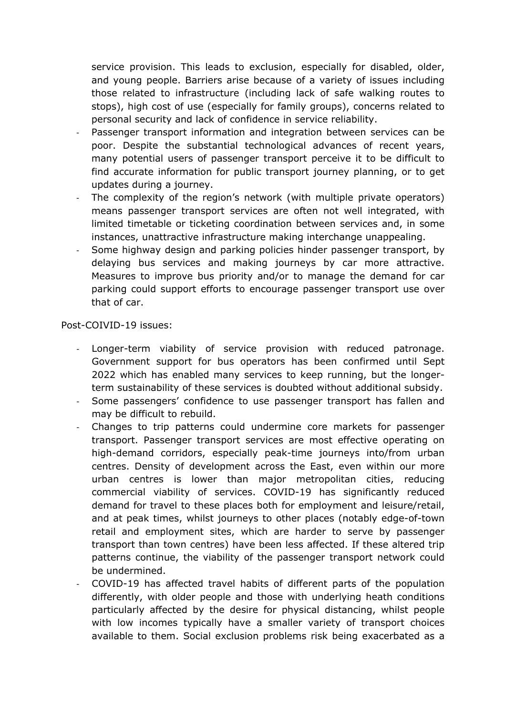service provision. This leads to exclusion, especially for disabled, older, and young people. Barriers arise because of a variety of issues including those related to infrastructure (including lack of safe walking routes to stops), high cost of use (especially for family groups), concerns related to personal security and lack of confidence in service reliability.

- Passenger transport information and integration between services can be poor. Despite the substantial technological advances of recent years, many potential users of passenger transport perceive it to be difficult to find accurate information for public transport journey planning, or to get updates during a journey.
- The complexity of the region's network (with multiple private operators) means passenger transport services are often not well integrated, with limited timetable or ticketing coordination between services and, in some instances, unattractive infrastructure making interchange unappealing.
- Some highway design and parking policies hinder passenger transport, by delaying bus services and making journeys by car more attractive. Measures to improve bus priority and/or to manage the demand for car parking could support efforts to encourage passenger transport use over that of car.

#### Post-COIVID-19 issues:

- Longer-term viability of service provision with reduced patronage. Government support for bus operators has been confirmed until Sept 2022 which has enabled many services to keep running, but the longerterm sustainability of these services is doubted without additional subsidy.
- Some passengers' confidence to use passenger transport has fallen and may be difficult to rebuild.
- Changes to trip patterns could undermine core markets for passenger transport. Passenger transport services are most effective operating on high-demand corridors, especially peak-time journeys into/from urban centres. Density of development across the East, even within our more urban centres is lower than major metropolitan cities, reducing commercial viability of services. COVID-19 has significantly reduced demand for travel to these places both for employment and leisure/retail, and at peak times, whilst journeys to other places (notably edge-of-town retail and employment sites, which are harder to serve by passenger transport than town centres) have been less affected. If these altered trip patterns continue, the viability of the passenger transport network could be undermined.
- COVID-19 has affected travel habits of different parts of the population differently, with older people and those with underlying heath conditions particularly affected by the desire for physical distancing, whilst people with low incomes typically have a smaller variety of transport choices available to them. Social exclusion problems risk being exacerbated as a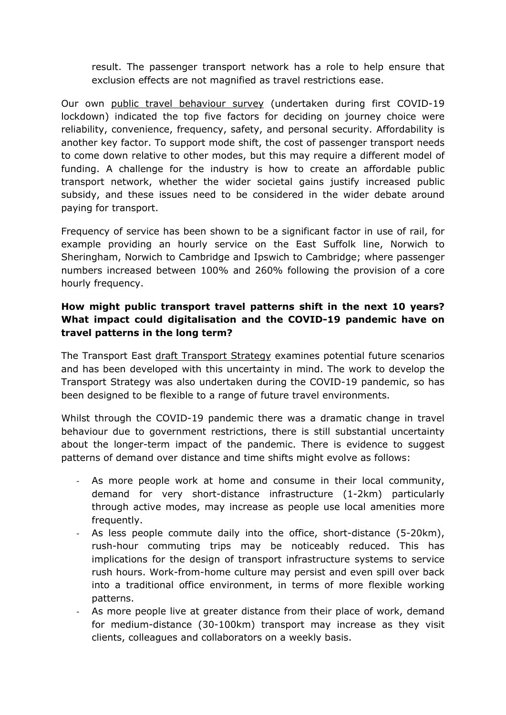result. The passenger transport network has a role to help ensure that exclusion effects are not magnified as travel restrictions ease.

Our own [public](https://www.transporteast.org.uk/wp-content/uploads/Transport-East-Online-Public-Engagement-Report_FINAL.pdf) [travel](https://www.transporteast.org.uk/wp-content/uploads/Transport-East-Online-Public-Engagement-Report_FINAL.pdf) [behaviour](https://www.transporteast.org.uk/wp-content/uploads/Transport-East-Online-Public-Engagement-Report_FINAL.pdf) [survey](https://www.transporteast.org.uk/wp-content/uploads/Transport-East-Online-Public-Engagement-Report_FINAL.pdf) (undertaken during first COVID-19 lockdown) indicated the top five factors for deciding on journey choice were reliability, convenience, frequency, safety, and personal security. Affordability is another key factor. To support mode shift, the cost of passenger transport needs to come down relative to other modes, but this may require a different model of funding. A challenge for the industry is how to create an affordable public transport network, whether the wider societal gains justify increased public subsidy, and these issues need to be considered in the wider debate around paying for transport.

Frequency of service has been shown to be a significant factor in use of rail, for example providing an hourly service on the East Suffolk line, Norwich to Sheringham, Norwich to Cambridge and Ipswich to Cambridge; where passenger numbers increased between 100% and 260% following the provision of a core hourly frequency.

# **How might public transport travel patterns shift in the next 10 years? What impact could digitalisation and the COVID-19 pandemic have on travel patterns in the long term?**

The Transport East [draft](https://www.transporteast.org.uk/wp-content/uploads/TransportEastStrategy.v6.pdf) [Transport](https://www.transporteast.org.uk/wp-content/uploads/TransportEastStrategy.v6.pdf) [Strategy](https://www.transporteast.org.uk/wp-content/uploads/TransportEastStrategy.v6.pdf) examines potential future scenarios and has been developed with this uncertainty in mind. The work to develop the Transport Strategy was also undertaken during the COVID-19 pandemic, so has been designed to be flexible to a range of future travel environments.

Whilst through the COVID-19 pandemic there was a dramatic change in travel behaviour due to government restrictions, there is still substantial uncertainty about the longer-term impact of the pandemic. There is evidence to suggest patterns of demand over distance and time shifts might evolve as follows:

- As more people work at home and consume in their local community, demand for very short-distance infrastructure (1-2km) particularly through active modes, may increase as people use local amenities more frequently.
- As less people commute daily into the office, short-distance (5-20km), rush-hour commuting trips may be noticeably reduced. This has implications for the design of transport infrastructure systems to service rush hours. Work-from-home culture may persist and even spill over back into a traditional office environment, in terms of more flexible working patterns.
- As more people live at greater distance from their place of work, demand for medium-distance (30-100km) transport may increase as they visit clients, colleagues and collaborators on a weekly basis.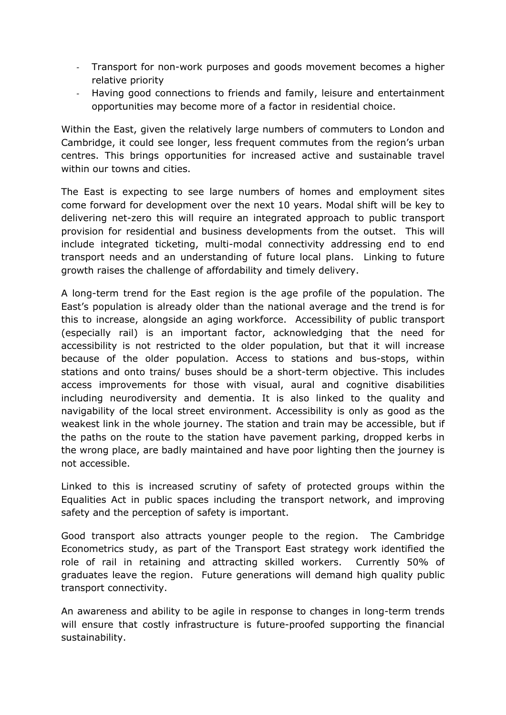- Transport for non-work purposes and goods movement becomes a higher relative priority
- Having good connections to friends and family, leisure and entertainment opportunities may become more of a factor in residential choice.

Within the East, given the relatively large numbers of commuters to London and Cambridge, it could see longer, less frequent commutes from the region's urban centres. This brings opportunities for increased active and sustainable travel within our towns and cities.

The East is expecting to see large numbers of homes and employment sites come forward for development over the next 10 years. Modal shift will be key to delivering net-zero this will require an integrated approach to public transport provision for residential and business developments from the outset. This will include integrated ticketing, multi-modal connectivity addressing end to end transport needs and an understanding of future local plans. Linking to future growth raises the challenge of affordability and timely delivery.

A long-term trend for the East region is the age profile of the population. The East's population is already older than the national average and the trend is for this to increase, alongside an aging workforce. Accessibility of public transport (especially rail) is an important factor, acknowledging that the need for accessibility is not restricted to the older population, but that it will increase because of the older population. Access to stations and bus-stops, within stations and onto trains/ buses should be a short-term objective. This includes access improvements for those with visual, aural and cognitive disabilities including neurodiversity and dementia. It is also linked to the quality and navigability of the local street environment. Accessibility is only as good as the weakest link in the whole journey. The station and train may be accessible, but if the paths on the route to the station have pavement parking, dropped kerbs in the wrong place, are badly maintained and have poor lighting then the journey is not accessible.

Linked to this is increased scrutiny of safety of protected groups within the Equalities Act in public spaces including the transport network, and improving safety and the perception of safety is important.

Good transport also attracts younger people to the region. The Cambridge Econometrics study, as part of the Transport East strategy work identified the role of rail in retaining and attracting skilled workers. Currently 50% of graduates leave the region. Future generations will demand high quality public transport connectivity.

An awareness and ability to be agile in response to changes in long-term trends will ensure that costly infrastructure is future-proofed supporting the financial sustainability.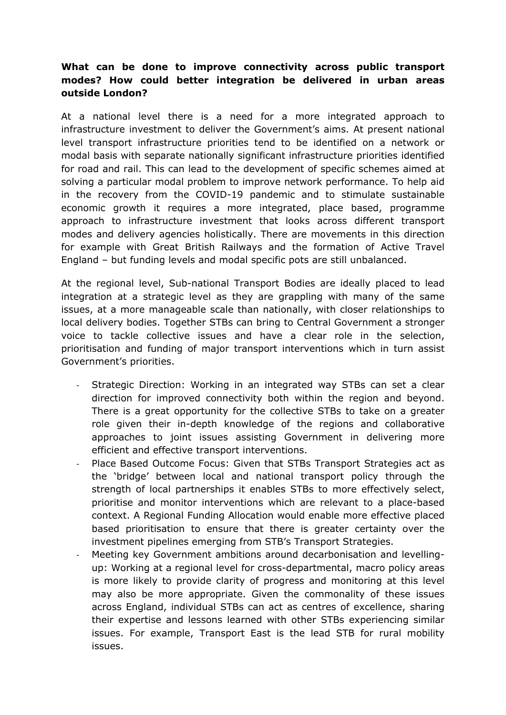## **What can be done to improve connectivity across public transport modes? How could better integration be delivered in urban areas outside London?**

At a national level there is a need for a more integrated approach to infrastructure investment to deliver the Government's aims. At present national level transport infrastructure priorities tend to be identified on a network or modal basis with separate nationally significant infrastructure priorities identified for road and rail. This can lead to the development of specific schemes aimed at solving a particular modal problem to improve network performance. To help aid in the recovery from the COVID-19 pandemic and to stimulate sustainable economic growth it requires a more integrated, place based, programme approach to infrastructure investment that looks across different transport modes and delivery agencies holistically. There are movements in this direction for example with Great British Railways and the formation of Active Travel England – but funding levels and modal specific pots are still unbalanced.

At the regional level, Sub-national Transport Bodies are ideally placed to lead integration at a strategic level as they are grappling with many of the same issues, at a more manageable scale than nationally, with closer relationships to local delivery bodies. Together STBs can bring to Central Government a stronger voice to tackle collective issues and have a clear role in the selection, prioritisation and funding of major transport interventions which in turn assist Government's priorities.

- Strategic Direction: Working in an integrated way STBs can set a clear direction for improved connectivity both within the region and beyond. There is a great opportunity for the collective STBs to take on a greater role given their in-depth knowledge of the regions and collaborative approaches to joint issues assisting Government in delivering more efficient and effective transport interventions.
- Place Based Outcome Focus: Given that STBs Transport Strategies act as the 'bridge' between local and national transport policy through the strength of local partnerships it enables STBs to more effectively select, prioritise and monitor interventions which are relevant to a place-based context. A Regional Funding Allocation would enable more effective placed based prioritisation to ensure that there is greater certainty over the investment pipelines emerging from STB's Transport Strategies.
- Meeting key Government ambitions around decarbonisation and levellingup: Working at a regional level for cross-departmental, macro policy areas is more likely to provide clarity of progress and monitoring at this level may also be more appropriate. Given the commonality of these issues across England, individual STBs can act as centres of excellence, sharing their expertise and lessons learned with other STBs experiencing similar issues. For example, Transport East is the lead STB for rural mobility issues.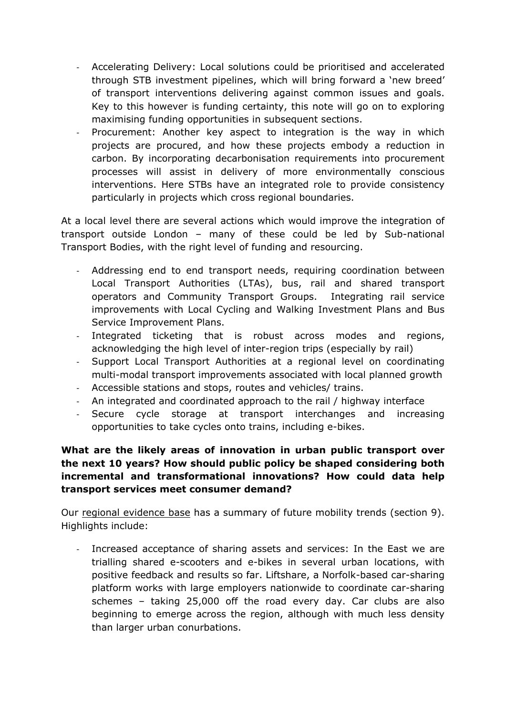- Accelerating Delivery: Local solutions could be prioritised and accelerated through STB investment pipelines, which will bring forward a 'new breed' of transport interventions delivering against common issues and goals. Key to this however is funding certainty, this note will go on to exploring maximising funding opportunities in subsequent sections.
- Procurement: Another key aspect to integration is the way in which projects are procured, and how these projects embody a reduction in carbon. By incorporating decarbonisation requirements into procurement processes will assist in delivery of more environmentally conscious interventions. Here STBs have an integrated role to provide consistency particularly in projects which cross regional boundaries.

At a local level there are several actions which would improve the integration of transport outside London – many of these could be led by Sub-national Transport Bodies, with the right level of funding and resourcing.

- Addressing end to end transport needs, requiring coordination between Local Transport Authorities (LTAs), bus, rail and shared transport operators and Community Transport Groups. Integrating rail service improvements with Local Cycling and Walking Investment Plans and Bus Service Improvement Plans.
- Integrated ticketing that is robust across modes and regions, acknowledging the high level of inter-region trips (especially by rail)
- Support Local Transport Authorities at a regional level on coordinating multi-modal transport improvements associated with local planned growth
- Accessible stations and stops, routes and vehicles/ trains.
- An integrated and coordinated approach to the rail / highway interface
- Secure cycle storage at transport interchanges and increasing opportunities to take cycles onto trains, including e-bikes.

## **What are the likely areas of innovation in urban public transport over the next 10 years? How should public policy be shaped considering both incremental and transformational innovations? How could data help transport services meet consumer demand?**

Our [regional](https://www.transporteast.org.uk/wp-content/uploads/Transport-East-Regional-Evidence-Base-1.pdf) [evidence](https://www.transporteast.org.uk/wp-content/uploads/Transport-East-Regional-Evidence-Base-1.pdf) [base](https://www.transporteast.org.uk/wp-content/uploads/Transport-East-Regional-Evidence-Base-1.pdf) has a summary of future mobility trends (section 9). Highlights include:

- Increased acceptance of sharing assets and services: In the East we are trialling shared e-scooters and e-bikes in several urban locations, with positive feedback and results so far. Liftshare, a Norfolk-based car-sharing platform works with large employers nationwide to coordinate car-sharing schemes – taking 25,000 off the road every day. Car clubs are also beginning to emerge across the region, although with much less density than larger urban conurbations.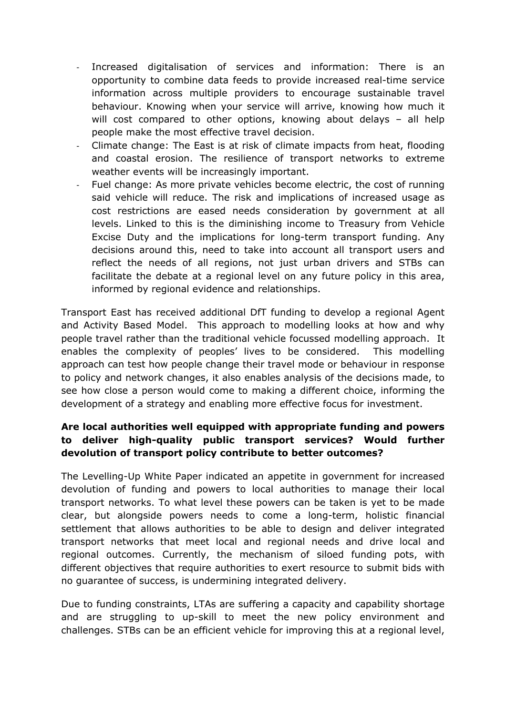- Increased digitalisation of services and information: There is an opportunity to combine data feeds to provide increased real-time service information across multiple providers to encourage sustainable travel behaviour. Knowing when your service will arrive, knowing how much it will cost compared to other options, knowing about delays – all help people make the most effective travel decision.
- Climate change: The East is at risk of climate impacts from heat, flooding and coastal erosion. The resilience of transport networks to extreme weather events will be increasingly important.
- Fuel change: As more private vehicles become electric, the cost of running said vehicle will reduce. The risk and implications of increased usage as cost restrictions are eased needs consideration by government at all levels. Linked to this is the diminishing income to Treasury from Vehicle Excise Duty and the implications for long-term transport funding. Any decisions around this, need to take into account all transport users and reflect the needs of all regions, not just urban drivers and STBs can facilitate the debate at a regional level on any future policy in this area, informed by regional evidence and relationships.

Transport East has received additional DfT funding to develop a regional Agent and Activity Based Model.This approach to modelling looks at how and why people travel rather than the traditional vehicle focussed modelling approach. It enables the complexity of peoples' lives to be considered. This modelling approach can test how people change their travel mode or behaviour in response to policy and network changes, it also enables analysis of the decisions made, to see how close a person would come to making a different choice, informing the development of a strategy and enabling more effective focus for investment.

# **Are local authorities well equipped with appropriate funding and powers to deliver high-quality public transport services? Would further devolution of transport policy contribute to better outcomes?**

The Levelling-Up White Paper indicated an appetite in government for increased devolution of funding and powers to local authorities to manage their local transport networks. To what level these powers can be taken is yet to be made clear, but alongside powers needs to come a long-term, holistic financial settlement that allows authorities to be able to design and deliver integrated transport networks that meet local and regional needs and drive local and regional outcomes. Currently, the mechanism of siloed funding pots, with different objectives that require authorities to exert resource to submit bids with no guarantee of success, is undermining integrated delivery.

Due to funding constraints, LTAs are suffering a capacity and capability shortage and are struggling to up-skill to meet the new policy environment and challenges. STBs can be an efficient vehicle for improving this at a regional level,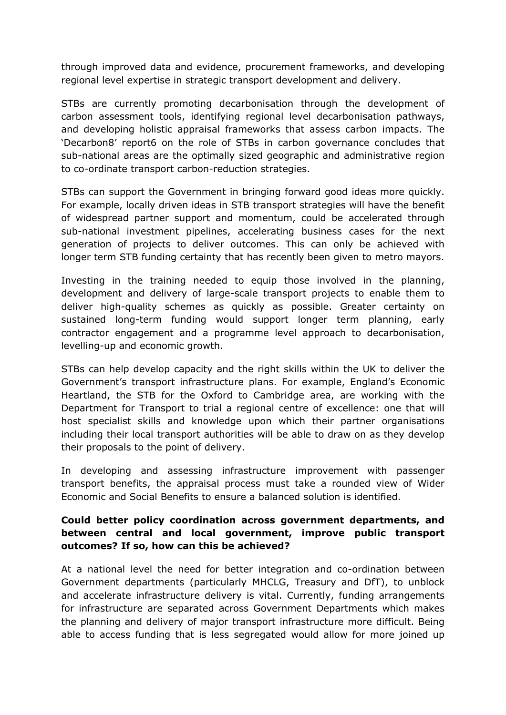through improved data and evidence, procurement frameworks, and developing regional level expertise in strategic transport development and delivery.

STBs are currently promoting decarbonisation through the development of carbon assessment tools, identifying regional level decarbonisation pathways, and developing holistic appraisal frameworks that assess carbon impacts. The 'Decarbon8' report6 on the role of STBs in carbon governance concludes that sub-national areas are the optimally sized geographic and administrative region to co-ordinate transport carbon-reduction strategies.

STBs can support the Government in bringing forward good ideas more quickly. For example, locally driven ideas in STB transport strategies will have the benefit of widespread partner support and momentum, could be accelerated through sub-national investment pipelines, accelerating business cases for the next generation of projects to deliver outcomes. This can only be achieved with longer term STB funding certainty that has recently been given to metro mayors.

Investing in the training needed to equip those involved in the planning, development and delivery of large-scale transport projects to enable them to deliver high-quality schemes as quickly as possible. Greater certainty on sustained long-term funding would support longer term planning, early contractor engagement and a programme level approach to decarbonisation, levelling-up and economic growth.

STBs can help develop capacity and the right skills within the UK to deliver the Government's transport infrastructure plans. For example, England's Economic Heartland, the STB for the Oxford to Cambridge area, are working with the Department for Transport to trial a regional centre of excellence: one that will host specialist skills and knowledge upon which their partner organisations including their local transport authorities will be able to draw on as they develop their proposals to the point of delivery.

In developing and assessing infrastructure improvement with passenger transport benefits, the appraisal process must take a rounded view of Wider Economic and Social Benefits to ensure a balanced solution is identified.

#### **Could better policy coordination across government departments, and between central and local government, improve public transport outcomes? If so, how can this be achieved?**

At a national level the need for better integration and co-ordination between Government departments (particularly MHCLG, Treasury and DfT), to unblock and accelerate infrastructure delivery is vital. Currently, funding arrangements for infrastructure are separated across Government Departments which makes the planning and delivery of major transport infrastructure more difficult. Being able to access funding that is less segregated would allow for more joined up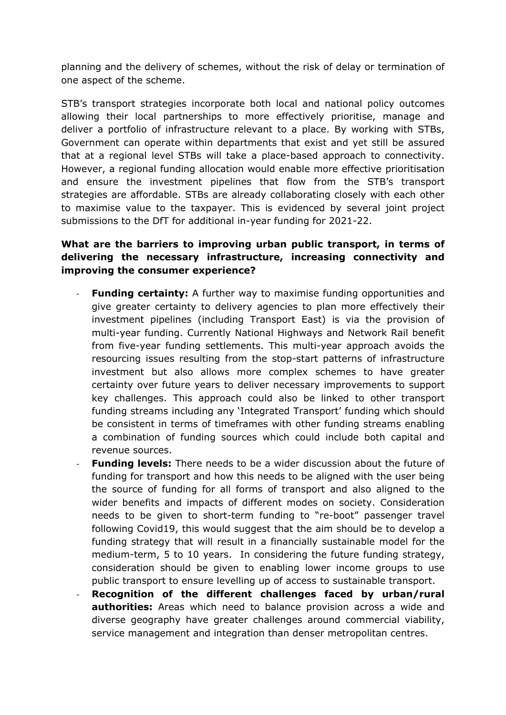planning and the delivery of schemes, without the risk of delay or termination of one aspect of the scheme.

STB's transport strategies incorporate both local and national policy outcomes allowing their local partnerships to more effectively prioritise, manage and deliver a portfolio of infrastructure relevant to a place. By working with STBs, Government can operate within departments that exist and yet still be assured that at a regional level STBs will take a place-based approach to connectivity. However, a regional funding allocation would enable more effective prioritisation and ensure the investment pipelines that flow from the STB's transport strategies are affordable. STBs are already collaborating closely with each other to maximise value to the taxpayer. This is evidenced by several joint project submissions to the DfT for additional in-year funding for 2021-22.

# **What are the barriers to improving urban public transport, in terms of delivering the necessary infrastructure, increasing connectivity and improving the consumer experience?**

- **Funding certainty:** A further way to maximise funding opportunities and give greater certainty to delivery agencies to plan more effectively their investment pipelines (including Transport East) is via the provision of multi-year funding. Currently National Highways and Network Rail benefit from five-year funding settlements. This multi-year approach avoids the resourcing issues resulting from the stop-start patterns of infrastructure investment but also allows more complex schemes to have greater certainty over future years to deliver necessary improvements to support key challenges. This approach could also be linked to other transport funding streams including any 'Integrated Transport' funding which should be consistent in terms of timeframes with other funding streams enabling a combination of funding sources which could include both capital and revenue sources.
- **Funding levels:** There needs to be a wider discussion about the future of funding for transport and how this needs to be aligned with the user being the source of funding for all forms of transport and also aligned to the wider benefits and impacts of different modes on society. Consideration needs to be given to short-term funding to "re-boot" passenger travel following Covid19, this would suggest that the aim should be to develop a funding strategy that will result in a financially sustainable model for the medium-term, 5 to 10 years. In considering the future funding strategy, consideration should be given to enabling lower income groups to use public transport to ensure levelling up of access to sustainable transport.
- **Recognition of the different challenges faced by urban/rural authorities:** Areas which need to balance provision across a wide and diverse geography have greater challenges around commercial viability, service management and integration than denser metropolitan centres.